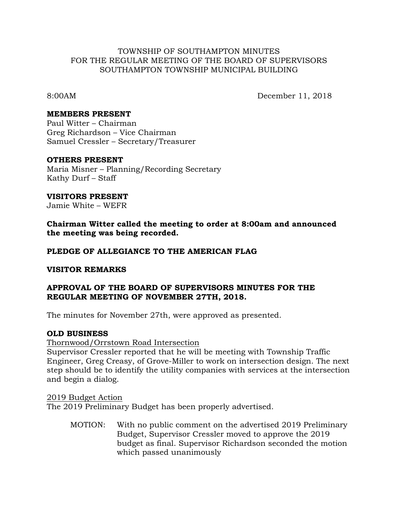### TOWNSHIP OF SOUTHAMPTON MINUTES FOR THE REGULAR MEETING OF THE BOARD OF SUPERVISORS SOUTHAMPTON TOWNSHIP MUNICIPAL BUILDING

8:00AM December 11, 2018

### **MEMBERS PRESENT**

Paul Witter – Chairman Greg Richardson – Vice Chairman Samuel Cressler – Secretary/Treasurer

### **OTHERS PRESENT**

Maria Misner – Planning/Recording Secretary Kathy Durf – Staff

**VISITORS PRESENT**

Jamie White – WEFR

**Chairman Witter called the meeting to order at 8:00am and announced the meeting was being recorded.**

## **PLEDGE OF ALLEGIANCE TO THE AMERICAN FLAG**

#### **VISITOR REMARKS**

## **APPROVAL OF THE BOARD OF SUPERVISORS MINUTES FOR THE REGULAR MEETING OF NOVEMBER 27TH, 2018.**

The minutes for November 27th, were approved as presented.

#### **OLD BUSINESS**

Thornwood/Orrstown Road Intersection

Supervisor Cressler reported that he will be meeting with Township Traffic Engineer, Greg Creasy, of Grove-Miller to work on intersection design. The next step should be to identify the utility companies with services at the intersection and begin a dialog.

2019 Budget Action

The 2019 Preliminary Budget has been properly advertised.

MOTION: With no public comment on the advertised 2019 Preliminary Budget, Supervisor Cressler moved to approve the 2019 budget as final. Supervisor Richardson seconded the motion which passed unanimously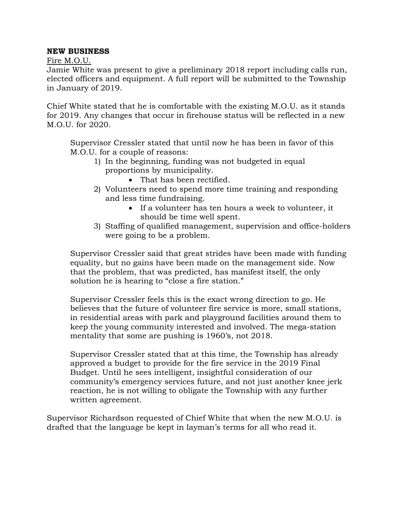# **NEW BUSINESS**

Fire M.O.U.

Jamie White was present to give a preliminary 2018 report including calls run, elected officers and equipment. A full report will be submitted to the Township in January of 2019.

Chief White stated that he is comfortable with the existing M.O.U. as it stands for 2019. Any changes that occur in firehouse status will be reflected in a new M.O.U. for 2020.

Supervisor Cressler stated that until now he has been in favor of this M.O.U. for a couple of reasons:

- 1) In the beginning, funding was not budgeted in equal proportions by municipality.
	- That has been rectified.
- 2) Volunteers need to spend more time training and responding and less time fundraising.
	- If a volunteer has ten hours a week to volunteer, it should be time well spent.
- 3) Staffing of qualified management, supervision and office-holders were going to be a problem.

Supervisor Cressler said that great strides have been made with funding equality, but no gains have been made on the management side. Now that the problem, that was predicted, has manifest itself, the only solution he is hearing to "close a fire station."

Supervisor Cressler feels this is the exact wrong direction to go. He believes that the future of volunteer fire service is more, small stations, in residential areas with park and playground facilities around them to keep the young community interested and involved. The mega-station mentality that some are pushing is 1960's, not 2018.

Supervisor Cressler stated that at this time, the Township has already approved a budget to provide for the fire service in the 2019 Final Budget. Until he sees intelligent, insightful consideration of our community's emergency services future, and not just another knee jerk reaction, he is not willing to obligate the Township with any further written agreement.

Supervisor Richardson requested of Chief White that when the new M.O.U. is drafted that the language be kept in layman's terms for all who read it.